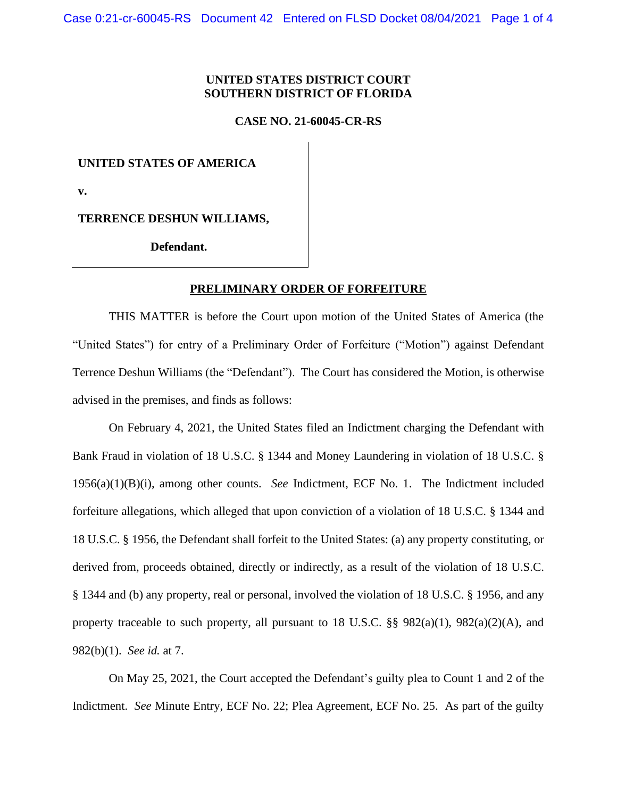## **UNITED STATES DISTRICT COURT SOUTHERN DISTRICT OF FLORIDA**

**CASE NO. 21-60045-CR-RS**

## **UNITED STATES OF AMERICA**

**v.** 

**TERRENCE DESHUN WILLIAMS,** 

**Defendant.**

## **PRELIMINARY ORDER OF FORFEITURE**

THIS MATTER is before the Court upon motion of the United States of America (the "United States") for entry of a Preliminary Order of Forfeiture ("Motion") against Defendant Terrence Deshun Williams (the "Defendant"). The Court has considered the Motion, is otherwise advised in the premises, and finds as follows:

On February 4, 2021, the United States filed an Indictment charging the Defendant with Bank Fraud in violation of 18 U.S.C. § 1344 and Money Laundering in violation of 18 U.S.C. § 1956(a)(1)(B)(i), among other counts. *See* Indictment, ECF No. 1. The Indictment included forfeiture allegations, which alleged that upon conviction of a violation of 18 U.S.C. § 1344 and 18 U.S.C. § 1956, the Defendant shall forfeit to the United States: (a) any property constituting, or derived from, proceeds obtained, directly or indirectly, as a result of the violation of 18 U.S.C. § 1344 and (b) any property, real or personal, involved the violation of 18 U.S.C. § 1956, and any property traceable to such property, all pursuant to 18 U.S.C.  $\S$ § 982(a)(1), 982(a)(2)(A), and 982(b)(1). *See id.* at 7.

On May 25, 2021, the Court accepted the Defendant's guilty plea to Count 1 and 2 of the Indictment. *See* Minute Entry, ECF No. 22; Plea Agreement, ECF No. 25. As part of the guilty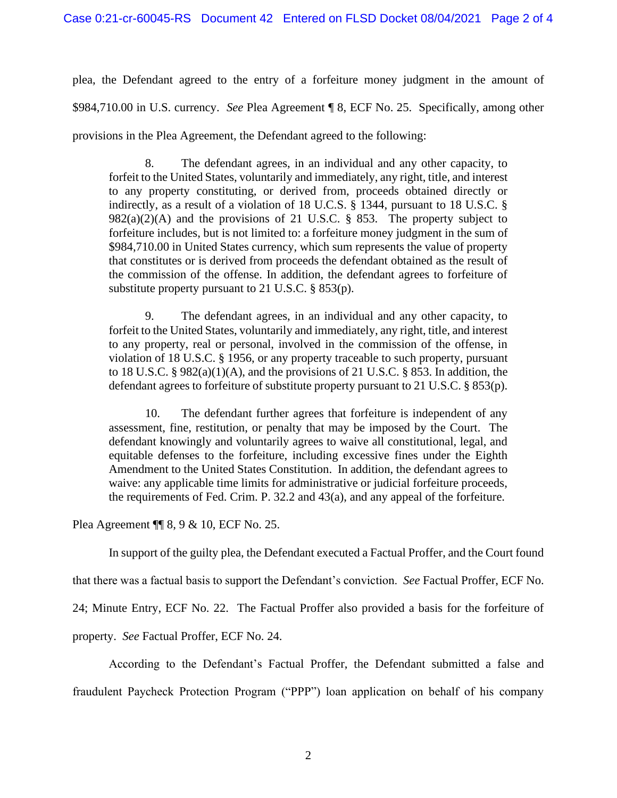plea, the Defendant agreed to the entry of a forfeiture money judgment in the amount of \$984,710.00 in U.S. currency. *See* Plea Agreement ¶ 8, ECF No. 25. Specifically, among other provisions in the Plea Agreement, the Defendant agreed to the following:

8. The defendant agrees, in an individual and any other capacity, to forfeit to the United States, voluntarily and immediately, any right, title, and interest to any property constituting, or derived from, proceeds obtained directly or indirectly, as a result of a violation of 18 U.C.S. § 1344, pursuant to 18 U.S.C. §  $982(a)(2)(A)$  and the provisions of 21 U.S.C. § 853. The property subject to forfeiture includes, but is not limited to: a forfeiture money judgment in the sum of \$984,710.00 in United States currency, which sum represents the value of property that constitutes or is derived from proceeds the defendant obtained as the result of the commission of the offense. In addition, the defendant agrees to forfeiture of substitute property pursuant to 21 U.S.C. § 853(p).

9. The defendant agrees, in an individual and any other capacity, to forfeit to the United States, voluntarily and immediately, any right, title, and interest to any property, real or personal, involved in the commission of the offense, in violation of 18 U.S.C. § 1956, or any property traceable to such property, pursuant to 18 U.S.C.  $\S 982(a)(1)(A)$ , and the provisions of 21 U.S.C.  $\S 853$ . In addition, the defendant agrees to forfeiture of substitute property pursuant to 21 U.S.C. § 853(p).

10. The defendant further agrees that forfeiture is independent of any assessment, fine, restitution, or penalty that may be imposed by the Court. The defendant knowingly and voluntarily agrees to waive all constitutional, legal, and equitable defenses to the forfeiture, including excessive fines under the Eighth Amendment to the United States Constitution. In addition, the defendant agrees to waive: any applicable time limits for administrative or judicial forfeiture proceeds, the requirements of Fed. Crim. P. 32.2 and 43(a), and any appeal of the forfeiture.

Plea Agreement ¶¶ 8, 9 & 10, ECF No. 25.

In support of the guilty plea, the Defendant executed a Factual Proffer, and the Court found

that there was a factual basis to support the Defendant's conviction. *See* Factual Proffer, ECF No.

24; Minute Entry, ECF No. 22. The Factual Proffer also provided a basis for the forfeiture of

property. *See* Factual Proffer, ECF No. 24.

According to the Defendant's Factual Proffer, the Defendant submitted a false and fraudulent Paycheck Protection Program ("PPP") loan application on behalf of his company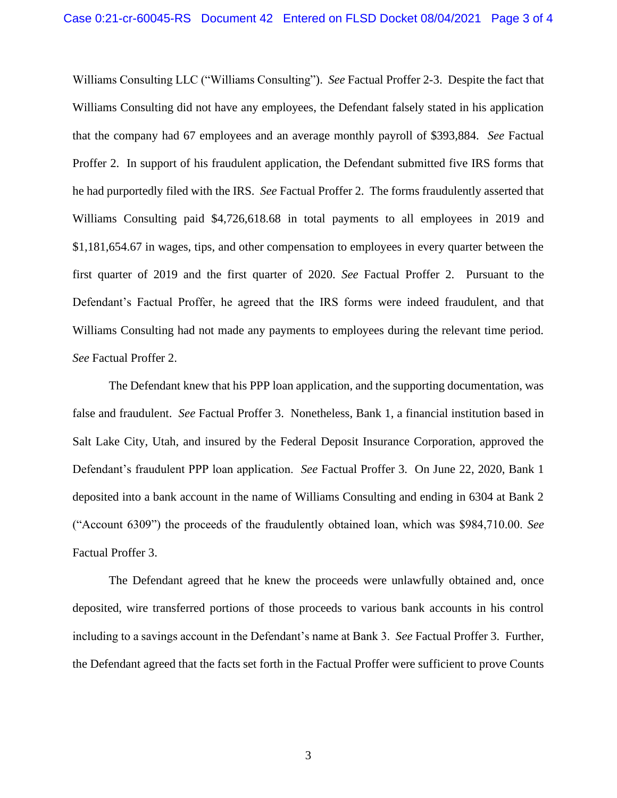Williams Consulting LLC ("Williams Consulting"). *See* Factual Proffer 2-3. Despite the fact that Williams Consulting did not have any employees, the Defendant falsely stated in his application that the company had 67 employees and an average monthly payroll of \$393,884. *See* Factual Proffer 2. In support of his fraudulent application, the Defendant submitted five IRS forms that he had purportedly filed with the IRS. *See* Factual Proffer 2. The forms fraudulently asserted that Williams Consulting paid \$4,726,618.68 in total payments to all employees in 2019 and \$1,181,654.67 in wages, tips, and other compensation to employees in every quarter between the first quarter of 2019 and the first quarter of 2020. *See* Factual Proffer 2. Pursuant to the Defendant's Factual Proffer, he agreed that the IRS forms were indeed fraudulent, and that Williams Consulting had not made any payments to employees during the relevant time period. *See* Factual Proffer 2.

The Defendant knew that his PPP loan application, and the supporting documentation, was false and fraudulent. *See* Factual Proffer 3. Nonetheless, Bank 1, a financial institution based in Salt Lake City, Utah, and insured by the Federal Deposit Insurance Corporation, approved the Defendant's fraudulent PPP loan application. *See* Factual Proffer 3. On June 22, 2020, Bank 1 deposited into a bank account in the name of Williams Consulting and ending in 6304 at Bank 2 ("Account 6309") the proceeds of the fraudulently obtained loan, which was \$984,710.00. *See*  Factual Proffer 3.

The Defendant agreed that he knew the proceeds were unlawfully obtained and, once deposited, wire transferred portions of those proceeds to various bank accounts in his control including to a savings account in the Defendant's name at Bank 3. *See* Factual Proffer 3. Further, the Defendant agreed that the facts set forth in the Factual Proffer were sufficient to prove Counts